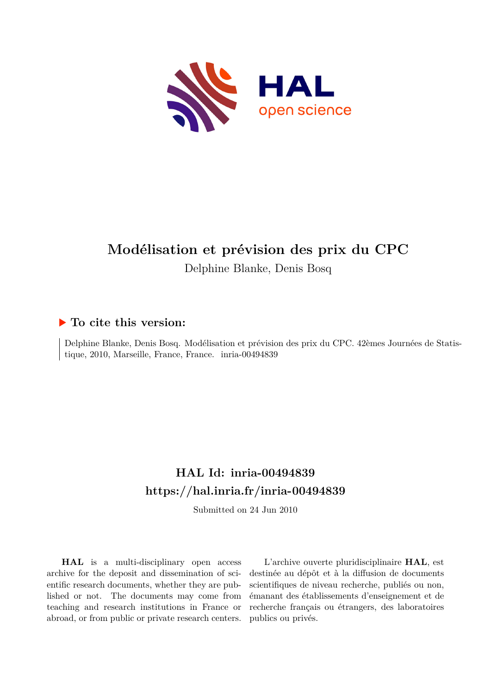

# **Modélisation et prévision des prix du CPC** Delphine Blanke, Denis Bosq

### **To cite this version:**

Delphine Blanke, Denis Bosq. Modélisation et prévision des prix du CPC. 42èmes Journées de Statistique, 2010, Marseille, France, France. inria-00494839

## **HAL Id: inria-00494839 <https://hal.inria.fr/inria-00494839>**

Submitted on 24 Jun 2010

**HAL** is a multi-disciplinary open access archive for the deposit and dissemination of scientific research documents, whether they are published or not. The documents may come from teaching and research institutions in France or abroad, or from public or private research centers.

L'archive ouverte pluridisciplinaire **HAL**, est destinée au dépôt et à la diffusion de documents scientifiques de niveau recherche, publiés ou non, émanant des établissements d'enseignement et de recherche français ou étrangers, des laboratoires publics ou privés.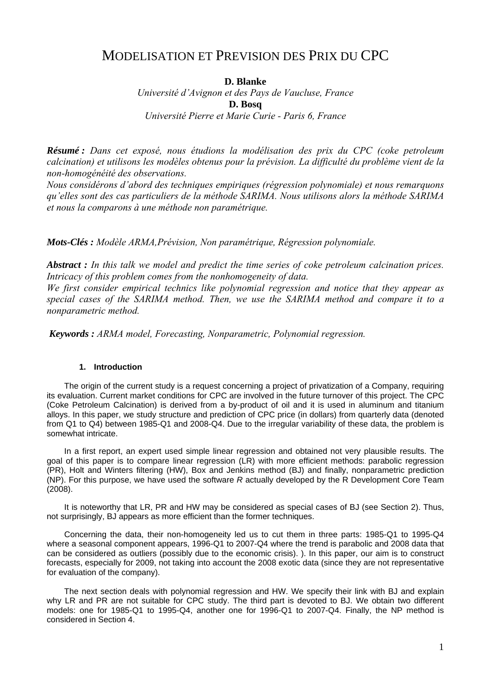## MODELISATION ET PREVISION DES PRIX DU CPC

### **D. Blanke**

*Université d'Avignon et des Pays de Vaucluse, France*  **D. Bosq**  *Université Pierre et Marie Curie - Paris 6, France* 

*Résumé : Dans cet exposé, nous étudions la modélisation des prix du CPC (coke petroleum calcination) et utilisons les modèles obtenus pour la prévision. La difficulté du problème vient de la non-homogénéité des observations.* 

*Nous considérons d'abord des techniques empiriques (régression polynomiale) et nous remarquons qu'elles sont des cas particuliers de la méthode SARIMA. Nous utilisons alors la méthode SARIMA et nous la comparons à une méthode non paramétrique.* 

*Mots-Clés : Modèle ARMA,Prévision, Non paramétrique, Régression polynomiale.* 

*Abstract : In this talk we model and predict the time series of coke petroleum calcination prices. Intricacy of this problem comes from the nonhomogeneity of data.* 

*We first consider empirical technics like polynomial regression and notice that they appear as special cases of the SARIMA method. Then, we use the SARIMA method and compare it to a nonparametric method.* 

*Keywords : ARMA model, Forecasting, Nonparametric, Polynomial regression.* 

#### **1. Introduction**

The origin of the current study is a request concerning a project of privatization of a Company, requiring its evaluation. Current market conditions for CPC are involved in the future turnover of this project. The CPC (Coke Petroleum Calcination) is derived from a by-product of oil and it is used in aluminum and titanium alloys. In this paper, we study structure and prediction of CPC price (in dollars) from quarterly data (denoted from Q1 to Q4) between 1985-Q1 and 2008-Q4. Due to the irregular variability of these data, the problem is somewhat intricate.

In a first report, an expert used simple linear regression and obtained not very plausible results. The goal of this paper is to compare linear regression (LR) with more efficient methods: parabolic regression (PR), Holt and Winters filtering (HW), Box and Jenkins method (BJ) and finally, nonparametric prediction (NP). For this purpose, we have used the software *R* actually developed by the R Development Core Team (2008).

It is noteworthy that LR, PR and HW may be considered as special cases of BJ (see Section 2). Thus, not surprisingly, BJ appears as more efficient than the former techniques.

Concerning the data, their non-homogeneity led us to cut them in three parts: 1985-Q1 to 1995-Q4 where a seasonal component appears, 1996-Q1 to 2007-Q4 where the trend is parabolic and 2008 data that can be considered as outliers (possibly due to the economic crisis). ). In this paper, our aim is to construct forecasts, especially for 2009, not taking into account the 2008 exotic data (since they are not representative for evaluation of the company).

The next section deals with polynomial regression and HW. We specify their link with BJ and explain why LR and PR are not suitable for CPC study. The third part is devoted to BJ. We obtain two different models: one for 1985-Q1 to 1995-Q4, another one for 1996-Q1 to 2007-Q4. Finally, the NP method is considered in Section 4.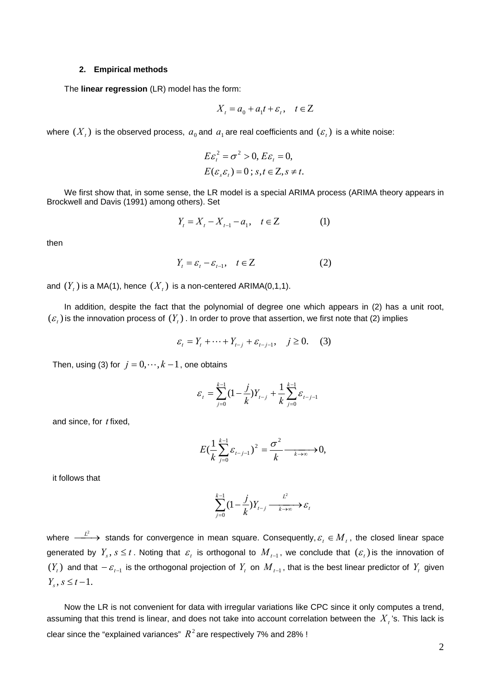#### **2. Empirical methods**

The **linear regression** (LR) model has the form:

$$
X_t = a_0 + a_1 t + \varepsilon_t, \quad t \in \mathbb{Z}
$$

where  $(X_t)$  is the observed process,  $a_0$  and  $a_1$  are real coefficients and  $(\varepsilon_t)$  is a white noise:

$$
E\varepsilon_t^2 = \sigma^2 > 0, E\varepsilon_t = 0,
$$
  
 
$$
E(\varepsilon_s \varepsilon_t) = 0 \, ; \, s, t \in \mathbb{Z}, s \neq t.
$$

We first show that, in some sense, the LR model is a special ARIMA process (ARIMA theory appears in Brockwell and Davis (1991) among others). Set

$$
Y_t = X_t - X_{t-1} - a_1, \quad t \in \mathbb{Z}
$$
 (1)

then

$$
Y_t = \varepsilon_t - \varepsilon_{t-1}, \quad t \in \mathbb{Z} \tag{2}
$$

and  $(Y<sub>i</sub>)$  is a MA(1), hence  $(X<sub>i</sub>)$  is a non-centered ARIMA(0,1,1).

In addition, despite the fact that the polynomial of degree one which appears in (2) has a unit root,  $(\varepsilon_t)$  is the innovation process of  $(Y_t)$ . In order to prove that assertion, we first note that (2) implies

$$
\varepsilon_{t} = Y_{t} + \dots + Y_{t-j} + \varepsilon_{t-j-1}, \quad j \ge 0.
$$
 (3)

Then, using (3) for  $j = 0, \dots, k-1$ , one obtains

$$
\varepsilon_{t} = \sum_{j=0}^{k-1} (1 - \frac{j}{k}) Y_{t-j} + \frac{1}{k} \sum_{j=0}^{k-1} \varepsilon_{t-j-1}
$$

and since, for *t* fixed,

$$
E\left(\frac{1}{k}\sum_{j=0}^{k-1}\varepsilon_{t-j-1}\right)^2=\frac{\sigma^2}{k}\frac{1}{\varepsilon^{k\to\infty}}\to 0,
$$

it follows that

$$
\sum_{j=0}^{k-1} (1 - \frac{j}{k}) Y_{t-j} \xrightarrow{k \to \infty} \varepsilon_t
$$

where  $\stackrel{L^2}{\longrightarrow}$  stands for convergence in mean square. Consequently,  $\varepsilon_{_t}\in M_{_t}$ , the closed linear space generated by  $Y_s$ ,  $s \le t$ . Noting that  $\varepsilon_t$  is orthogonal to  $M_{t-1}$ , we conclude that  $(\varepsilon_t)$  is the innovation of  $(Y_t)$  and that  $-\varepsilon_{t-1}$  is the orthogonal projection of  $Y_t$  on  $M_{t-1}$ , that is the best linear predictor of  $Y_t$  given  $Y_s, s \leq t-1.$ 

Now the LR is not convenient for data with irregular variations like CPC since it only computes a trend, assuming that this trend is linear, and does not take into account correlation between the  $\,X_{_t}$ 's. This lack is clear since the "explained variances"  $R^{\,2}$  are respectively 7% and 28% !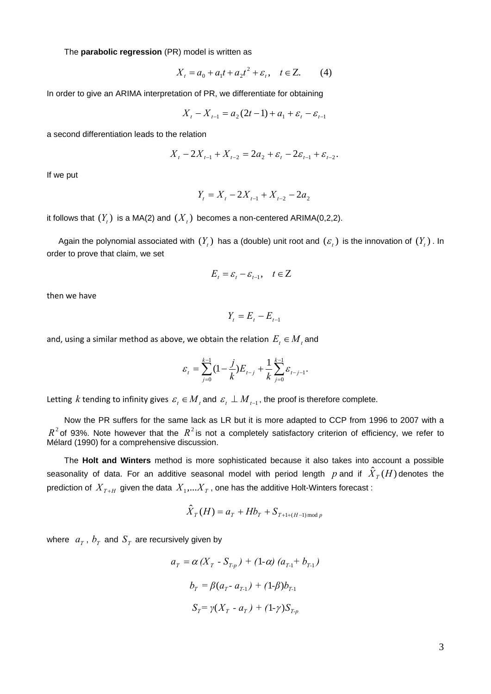The **parabolic regression** (PR) model is written as

$$
X_t = a_0 + a_1 t + a_2 t^2 + \varepsilon_t, \quad t \in \mathbb{Z}.
$$
 (4)

In order to give an ARIMA interpretation of PR, we differentiate for obtaining

$$
X_t - X_{t-1} = a_2(2t - 1) + a_1 + \varepsilon_t - \varepsilon_{t-1}
$$

a second differentiation leads to the relation

$$
X_{t} - 2X_{t-1} + X_{t-2} = 2a_2 + \varepsilon_{t} - 2\varepsilon_{t-1} + \varepsilon_{t-2}.
$$

If we put

$$
Y_t = X_t - 2X_{t-1} + X_{t-2} - 2a_2
$$

it follows that  $(Y_t)$  is a MA(2) and  $(X_t)$  becomes a non-centered ARIMA(0,2,2).

Again the polynomial associated with  $(Y_t)$  has a (double) unit root and  $(\varepsilon_t)$  is the innovation of  $(Y_t)$ . In order to prove that claim, we set

$$
E_t = \varepsilon_t - \varepsilon_{t-1}, \quad t \in \mathbb{Z}
$$

then we have

$$
Y_t = E_t - E_{t-1}
$$

and, using a similar method as above, we obtain the relation  $E_t \in M_t$  and

$$
\varepsilon_{t} = \sum_{j=0}^{k-1} (1 - \frac{j}{k}) E_{t-j} + \frac{1}{k} \sum_{j=0}^{k-1} \varepsilon_{t-j-1}.
$$

Letting *k* tending to infinity gives  $\varepsilon_t \in M_t$  and  $\varepsilon_t \perp M_{t-1}$ , the proof is therefore complete.

Now the PR suffers for the same lack as LR but it is more adapted to CCP from 1996 to 2007 with a  $R^2$  of 93%. Note however that the  $R^2$  is not a completely satisfactory criterion of efficiency, we refer to Mélard (1990) for a comprehensive discussion.

The **Holt and Winters** method is more sophisticated because it also takes into account a possible seasonality of data. For an additive seasonal model with period length  $p$  and if  $\hat{X}_T(H)$ denotes the prediction of  $\,_{T+H}\,$  given the data  $\,X_{_{1}},...X_{_{T}}$  , one has the additive Holt-Winters forecast :

$$
\hat{X}_T(H) = a_T + Hb_T + S_{T+1+(H-1) \mod p}
$$

where  $a<sub>T</sub>$ ,  $b<sub>T</sub>$  and  $S<sub>T</sub>$  are recursively given by

$$
a_{T} = \alpha (X_{T} - S_{T-p}) + (1-\alpha) (a_{T-1} + b_{T-1})
$$

$$
b_{T} = \beta (a_{T} - a_{T-1}) + (1-\beta) b_{T-1}
$$

$$
S_{T} = \gamma (X_{T} - a_{T}) + (1-\gamma) S_{T-p}
$$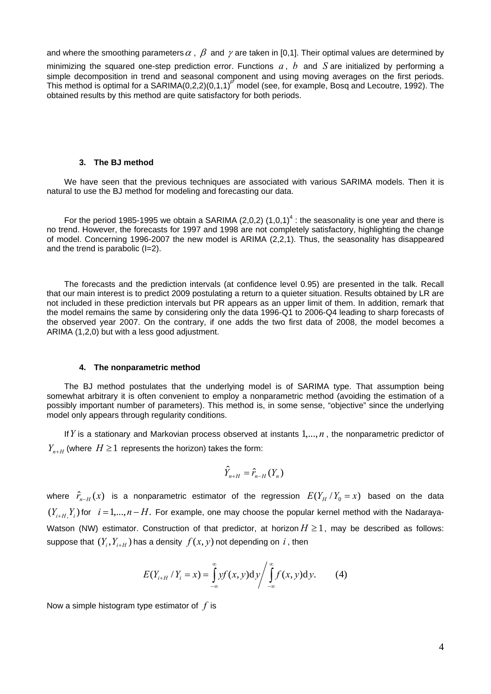and where the smoothing parameters  $\alpha$  ,  $\beta$  and  $\gamma$  are taken in [0,1]. Their optimal values are determined by

minimizing the squared one-step prediction error. Functions  $a, b$  and  $S$  are initialized by performing a simple decomposition in trend and seasonal component and using moving averages on the first periods. This method is optimal for a SARIMA $(0,2,2)(0,1,1)^P$  model (see, for example, Bosq and Lecoutre, 1992). The obtained results by this method are quite satisfactory for both periods.

#### **3. The BJ method**

We have seen that the previous techniques are associated with various SARIMA models. Then it is natural to use the BJ method for modeling and forecasting our data.

For the period 1985-1995 we obtain a SARIMA (2,0,2)  $(1,0,1)^4$  : the seasonality is one year and there is no trend. However, the forecasts for 1997 and 1998 are not completely satisfactory, highlighting the change of model. Concerning 1996-2007 the new model is ARIMA (2,2,1). Thus, the seasonality has disappeared and the trend is parabolic (I=2).

The forecasts and the prediction intervals (at confidence level 0.95) are presented in the talk. Recall that our main interest is to predict 2009 postulating a return to a quieter situation. Results obtained by LR are not included in these prediction intervals but PR appears as an upper limit of them. In addition, remark that the model remains the same by considering only the data 1996-Q1 to 2006-Q4 leading to sharp forecasts of the observed year 2007. On the contrary, if one adds the two first data of 2008, the model becomes a ARIMA (1,2,0) but with a less good adjustment.

#### **4. The nonparametric method**

The BJ method postulates that the underlying model is of SARIMA type. That assumption being somewhat arbitrary it is often convenient to employ a nonparametric method (avoiding the estimation of a possibly important number of parameters). This method is, in some sense, "objective" since the underlying model only appears through regularity conditions.

If  $Y$  is a stationary and Markovian process observed at instants  $1, \ldots, n$ , the nonparametric predictor of  $Y_{n+H}$  (where  $H \geq 1$  represents the horizon) takes the form:

$$
\hat{Y}_{n+H} = \hat{r}_{n-H}(Y_n)
$$

where  $\hat{r}_{n-H}(x)$  is a nonparametric estimator of the regression  $E(Y_H/Y_0 = x)$  based on the data  $(Y_{i+H,1}, Y_i)$  for  $i = 1,...,n-H$ . For example, one may choose the popular kernel method with the Nadaraya-Watson (NW) estimator. Construction of that predictor, at horizon  $H \geq 1$ , may be described as follows: suppose that  $(Y_i, Y_{i+H})$  has a density  $f(x, y)$  not depending on *i*, then

$$
E(Y_{i+H} / Y_i = x) = \int_{-\infty}^{\infty} y f(x, y) dy / \int_{-\infty}^{\infty} f(x, y) dy.
$$
 (4)

Now a simple histogram type estimator of *f* is